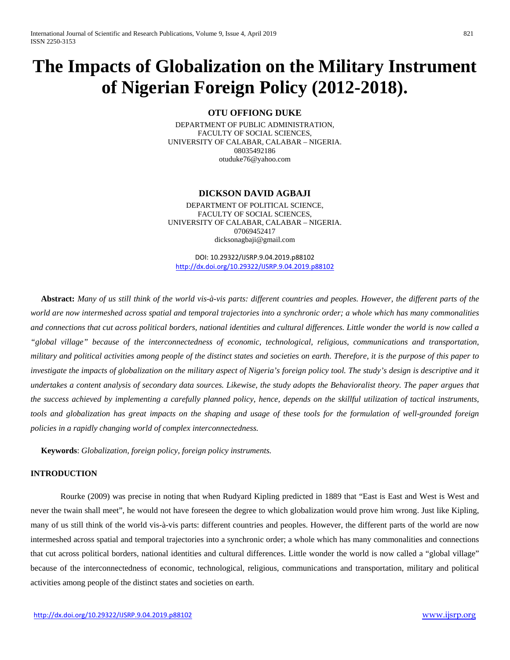# **The Impacts of Globalization on the Military Instrument of Nigerian Foreign Policy (2012-2018).**

# **OTU OFFIONG DUKE**

DEPARTMENT OF PUBLIC ADMINISTRATION, FACULTY OF SOCIAL SCIENCES, UNIVERSITY OF CALABAR, CALABAR – NIGERIA. 08035492186 [otuduke76@yahoo.com](mailto:otuduke76@yahoo.com)

#### **DICKSON DAVID AGBAJI**

DEPARTMENT OF POLITICAL SCIENCE, FACULTY OF SOCIAL SCIENCES, UNIVERSITY OF CALABAR, CALABAR – NIGERIA. 07069452417 [dicksonagbaji@gmail.com](mailto:dicksonagbaji@gmail.com)

DOI: 10.29322/IJSRP.9.04.2019.p88102 [http://dx.doi.org/10.29322/IJSRP.9.04.2019.p88102](http://dx.doi.org/10.29322/IJSRP.9.03.2019.p88102)

 **Abstract:** *Many of us still think of the world vis-à-vis parts: different countries and peoples. However, the different parts of the world are now intermeshed across spatial and temporal trajectories into a synchronic order; a whole which has many commonalities and connections that cut across political borders, national identities and cultural differences. Little wonder the world is now called a "global village" because of the interconnectedness of economic, technological, religious, communications and transportation, military and political activities among people of the distinct states and societies on earth. Therefore, it is the purpose of this paper to*  investigate the impacts of globalization on the military aspect of Nigeria's foreign policy tool. The study's design is descriptive and it *undertakes a content analysis of secondary data sources. Likewise, the study adopts the Behavioralist theory. The paper argues that the success achieved by implementing a carefully planned policy, hence, depends on the skillful utilization of tactical instruments, tools and globalization has great impacts on the shaping and usage of these tools for the formulation of well-grounded foreign policies in a rapidly changing world of complex interconnectedness.*

 **Keywords**: *Globalization, foreign policy, foreign policy instruments.*

# **INTRODUCTION**

Rourke (2009) was precise in noting that when Rudyard Kipling predicted in 1889 that "East is East and West is West and never the twain shall meet", he would not have foreseen the degree to which globalization would prove him wrong. Just like Kipling, many of us still think of the world vis-à-vis parts: different countries and peoples. However, the different parts of the world are now intermeshed across spatial and temporal trajectories into a synchronic order; a whole which has many commonalities and connections that cut across political borders, national identities and cultural differences. Little wonder the world is now called a "global village" because of the interconnectedness of economic, technological, religious, communications and transportation, military and political activities among people of the distinct states and societies on earth.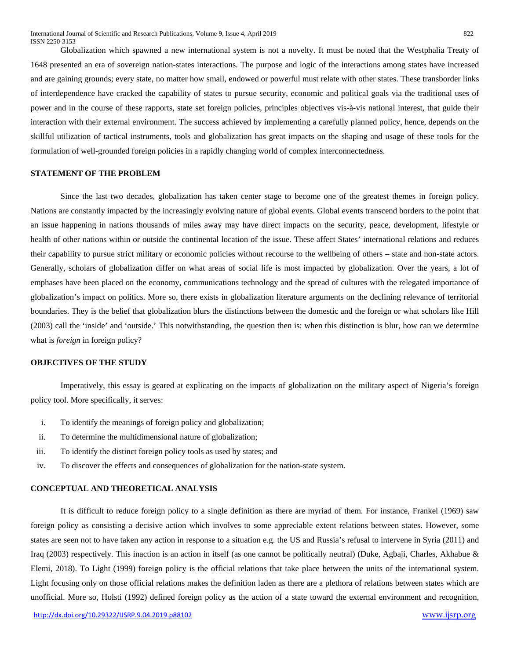Globalization which spawned a new international system is not a novelty. It must be noted that the Westphalia Treaty of 1648 presented an era of sovereign nation-states interactions. The purpose and logic of the interactions among states have increased and are gaining grounds; every state, no matter how small, endowed or powerful must relate with other states. These transborder links of interdependence have cracked the capability of states to pursue security, economic and political goals via the traditional uses of power and in the course of these rapports, state set foreign policies, principles objectives vis-à-vis national interest, that guide their interaction with their external environment. The success achieved by implementing a carefully planned policy, hence, depends on the skillful utilization of tactical instruments, tools and globalization has great impacts on the shaping and usage of these tools for the formulation of well-grounded foreign policies in a rapidly changing world of complex interconnectedness.

# **STATEMENT OF THE PROBLEM**

Since the last two decades, globalization has taken center stage to become one of the greatest themes in foreign policy. Nations are constantly impacted by the increasingly evolving nature of global events. Global events transcend borders to the point that an issue happening in nations thousands of miles away may have direct impacts on the security, peace, development, lifestyle or health of other nations within or outside the continental location of the issue. These affect States' international relations and reduces their capability to pursue strict military or economic policies without recourse to the wellbeing of others – state and non-state actors. Generally, scholars of globalization differ on what areas of social life is most impacted by globalization. Over the years, a lot of emphases have been placed on the economy, communications technology and the spread of cultures with the relegated importance of globalization's impact on politics. More so, there exists in globalization literature arguments on the declining relevance of territorial boundaries. They is the belief that globalization blurs the distinctions between the domestic and the foreign or what scholars like Hill (2003) call the 'inside' and 'outside.' This notwithstanding, the question then is: when this distinction is blur, how can we determine what is *foreign* in foreign policy?

# **OBJECTIVES OF THE STUDY**

Imperatively, this essay is geared at explicating on the impacts of globalization on the military aspect of Nigeria's foreign policy tool. More specifically, it serves:

- i. To identify the meanings of foreign policy and globalization;
- ii. To determine the multidimensional nature of globalization;
- iii. To identify the distinct foreign policy tools as used by states; and
- iv. To discover the effects and consequences of globalization for the nation-state system.

## **CONCEPTUAL AND THEORETICAL ANALYSIS**

It is difficult to reduce foreign policy to a single definition as there are myriad of them. For instance, Frankel (1969) saw foreign policy as consisting a decisive action which involves to some appreciable extent relations between states. However, some states are seen not to have taken any action in response to a situation e.g. the US and Russia's refusal to intervene in Syria (2011) and Iraq (2003) respectively. This inaction is an action in itself (as one cannot be politically neutral) (Duke, Agbaji, Charles, Akhabue & Elemi, 2018). To Light (1999) foreign policy is the official relations that take place between the units of the international system. Light focusing only on those official relations makes the definition laden as there are a plethora of relations between states which are unofficial. More so, Holsti (1992) defined foreign policy as the action of a state toward the external environment and recognition,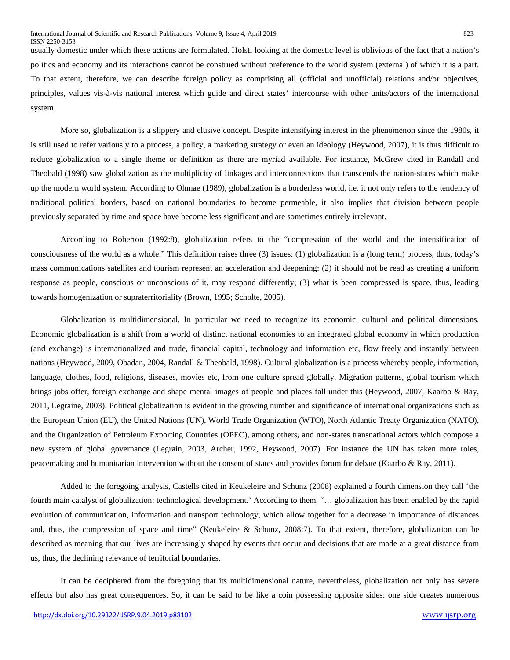usually domestic under which these actions are formulated. Holsti looking at the domestic level is oblivious of the fact that a nation's politics and economy and its interactions cannot be construed without preference to the world system (external) of which it is a part. To that extent, therefore, we can describe foreign policy as comprising all (official and unofficial) relations and/or objectives, principles, values vis-à-vis national interest which guide and direct states' intercourse with other units/actors of the international system.

More so, globalization is a slippery and elusive concept. Despite intensifying interest in the phenomenon since the 1980s, it is still used to refer variously to a process, a policy, a marketing strategy or even an ideology (Heywood, 2007), it is thus difficult to reduce globalization to a single theme or definition as there are myriad available. For instance, McGrew cited in Randall and Theobald (1998) saw globalization as the multiplicity of linkages and interconnections that transcends the nation-states which make up the modern world system. According to Ohmae (1989), globalization is a borderless world, i.e. it not only refers to the tendency of traditional political borders, based on national boundaries to become permeable, it also implies that division between people previously separated by time and space have become less significant and are sometimes entirely irrelevant.

According to Roberton (1992:8), globalization refers to the "compression of the world and the intensification of consciousness of the world as a whole." This definition raises three (3) issues: (1) globalization is a (long term) process, thus, today's mass communications satellites and tourism represent an acceleration and deepening: (2) it should not be read as creating a uniform response as people, conscious or unconscious of it, may respond differently; (3) what is been compressed is space, thus, leading towards homogenization or supraterritoriality (Brown, 1995; Scholte, 2005).

Globalization is multidimensional. In particular we need to recognize its economic, cultural and political dimensions. Economic globalization is a shift from a world of distinct national economies to an integrated global economy in which production (and exchange) is internationalized and trade, financial capital, technology and information etc, flow freely and instantly between nations (Heywood, 2009, Obadan, 2004, Randall & Theobald, 1998). Cultural globalization is a process whereby people, information, language, clothes, food, religions, diseases, movies etc, from one culture spread globally. Migration patterns, global tourism which brings jobs offer, foreign exchange and shape mental images of people and places fall under this (Heywood, 2007, Kaarbo & Ray, 2011, Legraine, 2003). Political globalization is evident in the growing number and significance of international organizations such as the European Union (EU), the United Nations (UN), World Trade Organization (WTO), North Atlantic Treaty Organization (NATO), and the Organization of Petroleum Exporting Countries (OPEC), among others, and non-states transnational actors which compose a new system of global governance (Legrain, 2003, Archer, 1992, Heywood, 2007). For instance the UN has taken more roles, peacemaking and humanitarian intervention without the consent of states and provides forum for debate (Kaarbo & Ray, 2011).

Added to the foregoing analysis, Castells cited in Keukeleire and Schunz (2008) explained a fourth dimension they call 'the fourth main catalyst of globalization: technological development.' According to them, "… globalization has been enabled by the rapid evolution of communication, information and transport technology, which allow together for a decrease in importance of distances and, thus, the compression of space and time" (Keukeleire & Schunz, 2008:7). To that extent, therefore, globalization can be described as meaning that our lives are increasingly shaped by events that occur and decisions that are made at a great distance from us, thus, the declining relevance of territorial boundaries.

It can be deciphered from the foregoing that its multidimensional nature, nevertheless, globalization not only has severe effects but also has great consequences. So, it can be said to be like a coin possessing opposite sides: one side creates numerous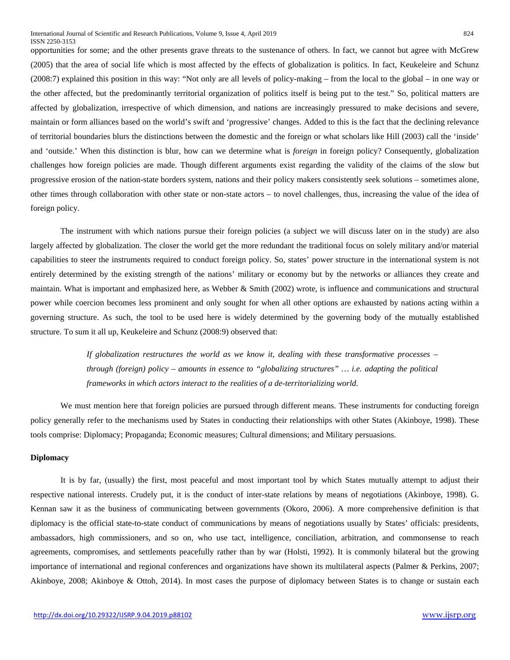opportunities for some; and the other presents grave threats to the sustenance of others. In fact, we cannot but agree with McGrew (2005) that the area of social life which is most affected by the effects of globalization is politics. In fact, Keukeleire and Schunz (2008:7) explained this position in this way: "Not only are all levels of policy-making – from the local to the global – in one way or the other affected, but the predominantly territorial organization of politics itself is being put to the test." So, political matters are affected by globalization, irrespective of which dimension, and nations are increasingly pressured to make decisions and severe, maintain or form alliances based on the world's swift and 'progressive' changes. Added to this is the fact that the declining relevance of territorial boundaries blurs the distinctions between the domestic and the foreign or what scholars like Hill (2003) call the 'inside' and 'outside.' When this distinction is blur, how can we determine what is *foreign* in foreign policy? Consequently, globalization challenges how foreign policies are made. Though different arguments exist regarding the validity of the claims of the slow but progressive erosion of the nation-state borders system, nations and their policy makers consistently seek solutions – sometimes alone, other times through collaboration with other state or non-state actors – to novel challenges, thus, increasing the value of the idea of foreign policy.

The instrument with which nations pursue their foreign policies (a subject we will discuss later on in the study) are also largely affected by globalization. The closer the world get the more redundant the traditional focus on solely military and/or material capabilities to steer the instruments required to conduct foreign policy. So, states' power structure in the international system is not entirely determined by the existing strength of the nations' military or economy but by the networks or alliances they create and maintain. What is important and emphasized here, as Webber & Smith (2002) wrote, is influence and communications and structural power while coercion becomes less prominent and only sought for when all other options are exhausted by nations acting within a governing structure. As such, the tool to be used here is widely determined by the governing body of the mutually established structure. To sum it all up, Keukeleire and Schunz (2008:9) observed that:

> *If globalization restructures the world as we know it, dealing with these transformative processes – through (foreign) policy – amounts in essence to "globalizing structures" … i.e. adapting the political frameworks in which actors interact to the realities of a de-territorializing world.*

We must mention here that foreign policies are pursued through different means. These instruments for conducting foreign policy generally refer to the mechanisms used by States in conducting their relationships with other States (Akinboye, 1998). These tools comprise: Diplomacy; Propaganda; Economic measures; Cultural dimensions; and Military persuasions.

### **Diplomacy**

It is by far, (usually) the first, most peaceful and most important tool by which States mutually attempt to adjust their respective national interests. Crudely put, it is the conduct of inter-state relations by means of negotiations (Akinboye, 1998). G. Kennan saw it as the business of communicating between governments (Okoro, 2006). A more comprehensive definition is that diplomacy is the official state-to-state conduct of communications by means of negotiations usually by States' officials: presidents, ambassadors, high commissioners, and so on, who use tact, intelligence, conciliation, arbitration, and commonsense to reach agreements, compromises, and settlements peacefully rather than by war (Holsti, 1992). It is commonly bilateral but the growing importance of international and regional conferences and organizations have shown its multilateral aspects (Palmer & Perkins, 2007; Akinboye, 2008; Akinboye & Ottoh, 2014). In most cases the purpose of diplomacy between States is to change or sustain each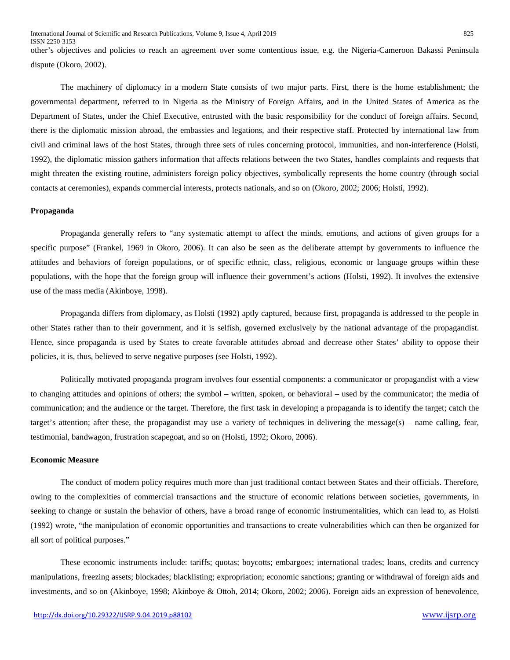other's objectives and policies to reach an agreement over some contentious issue, e.g. the Nigeria-Cameroon Bakassi Peninsula dispute (Okoro, 2002).

The machinery of diplomacy in a modern State consists of two major parts. First, there is the home establishment; the governmental department, referred to in Nigeria as the Ministry of Foreign Affairs, and in the United States of America as the Department of States, under the Chief Executive, entrusted with the basic responsibility for the conduct of foreign affairs. Second, there is the diplomatic mission abroad, the embassies and legations, and their respective staff. Protected by international law from civil and criminal laws of the host States, through three sets of rules concerning protocol, immunities, and non-interference (Holsti, 1992), the diplomatic mission gathers information that affects relations between the two States, handles complaints and requests that might threaten the existing routine, administers foreign policy objectives, symbolically represents the home country (through social contacts at ceremonies), expands commercial interests, protects nationals, and so on (Okoro, 2002; 2006; Holsti, 1992).

#### **Propaganda**

Propaganda generally refers to "any systematic attempt to affect the minds, emotions, and actions of given groups for a specific purpose" (Frankel, 1969 in Okoro, 2006). It can also be seen as the deliberate attempt by governments to influence the attitudes and behaviors of foreign populations, or of specific ethnic, class, religious, economic or language groups within these populations, with the hope that the foreign group will influence their government's actions (Holsti, 1992). It involves the extensive use of the mass media (Akinboye, 1998).

Propaganda differs from diplomacy, as Holsti (1992) aptly captured, because first, propaganda is addressed to the people in other States rather than to their government, and it is selfish, governed exclusively by the national advantage of the propagandist. Hence, since propaganda is used by States to create favorable attitudes abroad and decrease other States' ability to oppose their policies, it is, thus, believed to serve negative purposes (see Holsti, 1992).

Politically motivated propaganda program involves four essential components: a communicator or propagandist with a view to changing attitudes and opinions of others; the symbol – written, spoken, or behavioral – used by the communicator; the media of communication; and the audience or the target. Therefore, the first task in developing a propaganda is to identify the target; catch the target's attention; after these, the propagandist may use a variety of techniques in delivering the message(s) – name calling, fear, testimonial, bandwagon, frustration scapegoat, and so on (Holsti, 1992; Okoro, 2006).

#### **Economic Measure**

The conduct of modern policy requires much more than just traditional contact between States and their officials. Therefore, owing to the complexities of commercial transactions and the structure of economic relations between societies, governments, in seeking to change or sustain the behavior of others, have a broad range of economic instrumentalities, which can lead to, as Holsti (1992) wrote, "the manipulation of economic opportunities and transactions to create vulnerabilities which can then be organized for all sort of political purposes."

These economic instruments include: tariffs; quotas; boycotts; embargoes; international trades; loans, credits and currency manipulations, freezing assets; blockades; blacklisting; expropriation; economic sanctions; granting or withdrawal of foreign aids and investments, and so on (Akinboye, 1998; Akinboye & Ottoh, 2014; Okoro, 2002; 2006). Foreign aids an expression of benevolence,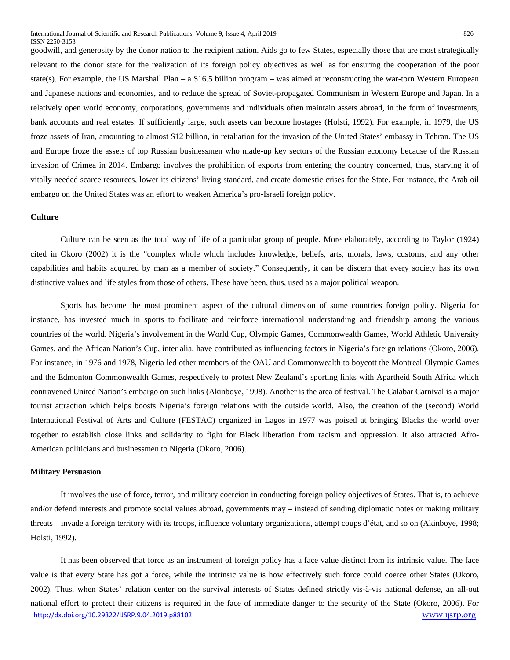goodwill, and generosity by the donor nation to the recipient nation. Aids go to few States, especially those that are most strategically relevant to the donor state for the realization of its foreign policy objectives as well as for ensuring the cooperation of the poor state(s). For example, the US Marshall Plan – a \$16.5 billion program – was aimed at reconstructing the war-torn Western European and Japanese nations and economies, and to reduce the spread of Soviet-propagated Communism in Western Europe and Japan. In a relatively open world economy, corporations, governments and individuals often maintain assets abroad, in the form of investments, bank accounts and real estates. If sufficiently large, such assets can become hostages (Holsti, 1992). For example, in 1979, the US froze assets of Iran, amounting to almost \$12 billion, in retaliation for the invasion of the United States' embassy in Tehran. The US and Europe froze the assets of top Russian businessmen who made-up key sectors of the Russian economy because of the Russian invasion of Crimea in 2014. Embargo involves the prohibition of exports from entering the country concerned, thus, starving it of vitally needed scarce resources, lower its citizens' living standard, and create domestic crises for the State. For instance, the Arab oil embargo on the United States was an effort to weaken America's pro-Israeli foreign policy.

# **Culture**

Culture can be seen as the total way of life of a particular group of people. More elaborately, according to Taylor (1924) cited in Okoro (2002) it is the "complex whole which includes knowledge, beliefs, arts, morals, laws, customs, and any other capabilities and habits acquired by man as a member of society." Consequently, it can be discern that every society has its own distinctive values and life styles from those of others. These have been, thus, used as a major political weapon.

Sports has become the most prominent aspect of the cultural dimension of some countries foreign policy. Nigeria for instance, has invested much in sports to facilitate and reinforce international understanding and friendship among the various countries of the world. Nigeria's involvement in the World Cup, Olympic Games, Commonwealth Games, World Athletic University Games, and the African Nation's Cup, inter alia, have contributed as influencing factors in Nigeria's foreign relations (Okoro, 2006). For instance, in 1976 and 1978, Nigeria led other members of the OAU and Commonwealth to boycott the Montreal Olympic Games and the Edmonton Commonwealth Games, respectively to protest New Zealand's sporting links with Apartheid South Africa which contravened United Nation's embargo on such links (Akinboye, 1998). Another is the area of festival. The Calabar Carnival is a major tourist attraction which helps boosts Nigeria's foreign relations with the outside world. Also, the creation of the (second) World International Festival of Arts and Culture (FESTAC) organized in Lagos in 1977 was poised at bringing Blacks the world over together to establish close links and solidarity to fight for Black liberation from racism and oppression. It also attracted Afro-American politicians and businessmen to Nigeria (Okoro, 2006).

#### **Military Persuasion**

It involves the use of force, terror, and military coercion in conducting foreign policy objectives of States. That is, to achieve and/or defend interests and promote social values abroad, governments may – instead of sending diplomatic notes or making military threats – invade a foreign territory with its troops, influence voluntary organizations, attempt coups d'état, and so on (Akinboye, 1998; Holsti, 1992).

[http://dx.doi.org/10.29322/IJSRP.9.04.2019.p88102](http://dx.doi.org/10.29322/IJSRP.9.03.2019.p88102) [www.ijsrp.org](http://ijsrp.org/) It has been observed that force as an instrument of foreign policy has a face value distinct from its intrinsic value. The face value is that every State has got a force, while the intrinsic value is how effectively such force could coerce other States (Okoro, 2002). Thus, when States' relation center on the survival interests of States defined strictly vis-à-vis national defense, an all-out national effort to protect their citizens is required in the face of immediate danger to the security of the State (Okoro, 2006). For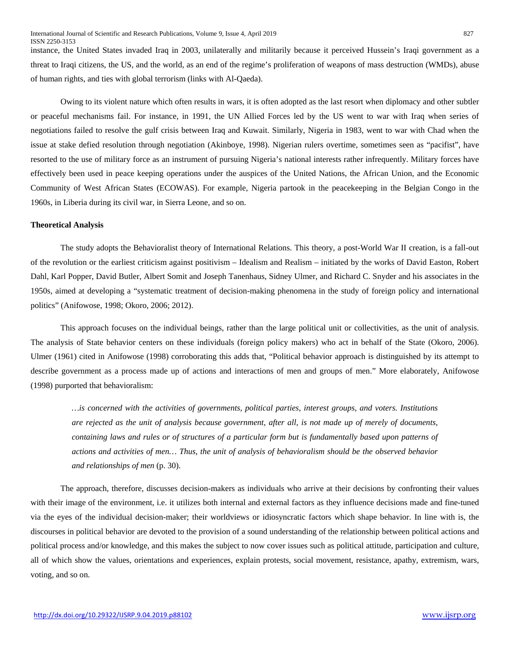instance, the United States invaded Iraq in 2003, unilaterally and militarily because it perceived Hussein's Iraqi government as a threat to Iraqi citizens, the US, and the world, as an end of the regime's proliferation of weapons of mass destruction (WMDs), abuse of human rights, and ties with global terrorism (links with Al-Qaeda).

Owing to its violent nature which often results in wars, it is often adopted as the last resort when diplomacy and other subtler or peaceful mechanisms fail. For instance, in 1991, the UN Allied Forces led by the US went to war with Iraq when series of negotiations failed to resolve the gulf crisis between Iraq and Kuwait. Similarly, Nigeria in 1983, went to war with Chad when the issue at stake defied resolution through negotiation (Akinboye, 1998). Nigerian rulers overtime, sometimes seen as "pacifist", have resorted to the use of military force as an instrument of pursuing Nigeria's national interests rather infrequently. Military forces have effectively been used in peace keeping operations under the auspices of the United Nations, the African Union, and the Economic Community of West African States (ECOWAS). For example, Nigeria partook in the peacekeeping in the Belgian Congo in the 1960s, in Liberia during its civil war, in Sierra Leone, and so on.

#### **Theoretical Analysis**

The study adopts the Behavioralist theory of International Relations. This theory, a post-World War II creation, is a fall-out of the revolution or the earliest criticism against positivism – Idealism and Realism – initiated by the works of David Easton, Robert Dahl, Karl Popper, David Butler, Albert Somit and Joseph Tanenhaus, Sidney Ulmer, and Richard C. Snyder and his associates in the 1950s, aimed at developing a "systematic treatment of decision-making phenomena in the study of foreign policy and international politics" (Anifowose, 1998; Okoro, 2006; 2012).

This approach focuses on the individual beings, rather than the large political unit or collectivities, as the unit of analysis. The analysis of State behavior centers on these individuals (foreign policy makers) who act in behalf of the State (Okoro, 2006). Ulmer (1961) cited in Anifowose (1998) corroborating this adds that, "Political behavior approach is distinguished by its attempt to describe government as a process made up of actions and interactions of men and groups of men." More elaborately, Anifowose (1998) purported that behavioralism:

*…is concerned with the activities of governments, political parties, interest groups, and voters. Institutions are rejected as the unit of analysis because government, after all, is not made up of merely of documents, containing laws and rules or of structures of a particular form but is fundamentally based upon patterns of actions and activities of men… Thus, the unit of analysis of behavioralism should be the observed behavior and relationships of men* (p. 30).

The approach, therefore, discusses decision-makers as individuals who arrive at their decisions by confronting their values with their image of the environment, i.e. it utilizes both internal and external factors as they influence decisions made and fine-tuned via the eyes of the individual decision-maker; their worldviews or idiosyncratic factors which shape behavior. In line with is, the discourses in political behavior are devoted to the provision of a sound understanding of the relationship between political actions and political process and/or knowledge, and this makes the subject to now cover issues such as political attitude, participation and culture, all of which show the values, orientations and experiences, explain protests, social movement, resistance, apathy, extremism, wars, voting, and so on.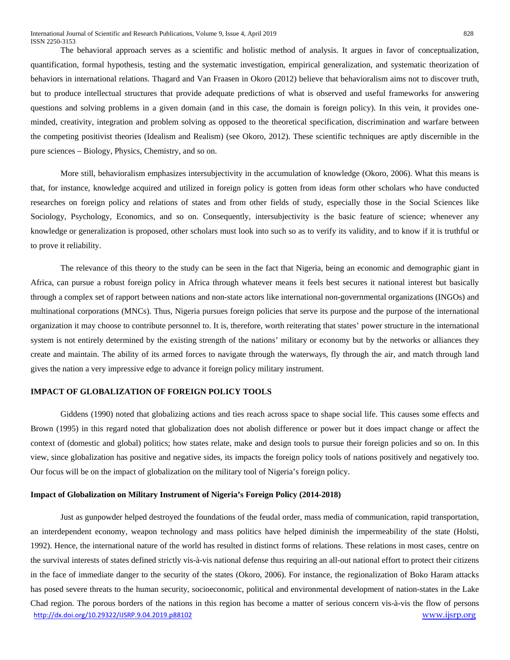The behavioral approach serves as a scientific and holistic method of analysis. It argues in favor of conceptualization, quantification, formal hypothesis, testing and the systematic investigation, empirical generalization, and systematic theorization of behaviors in international relations. Thagard and Van Fraasen in Okoro (2012) believe that behavioralism aims not to discover truth, but to produce intellectual structures that provide adequate predictions of what is observed and useful frameworks for answering questions and solving problems in a given domain (and in this case, the domain is foreign policy). In this vein, it provides oneminded, creativity, integration and problem solving as opposed to the theoretical specification, discrimination and warfare between the competing positivist theories (Idealism and Realism) (see Okoro, 2012). These scientific techniques are aptly discernible in the pure sciences – Biology, Physics, Chemistry, and so on.

More still, behavioralism emphasizes intersubjectivity in the accumulation of knowledge (Okoro, 2006). What this means is that, for instance, knowledge acquired and utilized in foreign policy is gotten from ideas form other scholars who have conducted researches on foreign policy and relations of states and from other fields of study, especially those in the Social Sciences like Sociology, Psychology, Economics, and so on. Consequently, intersubjectivity is the basic feature of science; whenever any knowledge or generalization is proposed, other scholars must look into such so as to verify its validity, and to know if it is truthful or to prove it reliability.

The relevance of this theory to the study can be seen in the fact that Nigeria, being an economic and demographic giant in Africa, can pursue a robust foreign policy in Africa through whatever means it feels best secures it national interest but basically through a complex set of rapport between nations and non-state actors like international non-governmental organizations (INGOs) and multinational corporations (MNCs). Thus, Nigeria pursues foreign policies that serve its purpose and the purpose of the international organization it may choose to contribute personnel to. It is, therefore, worth reiterating that states' power structure in the international system is not entirely determined by the existing strength of the nations' military or economy but by the networks or alliances they create and maintain. The ability of its armed forces to navigate through the waterways, fly through the air, and match through land gives the nation a very impressive edge to advance it foreign policy military instrument.

## **IMPACT OF GLOBALIZATION OF FOREIGN POLICY TOOLS**

Giddens (1990) noted that globalizing actions and ties reach across space to shape social life. This causes some effects and Brown (1995) in this regard noted that globalization does not abolish difference or power but it does impact change or affect the context of (domestic and global) politics; how states relate, make and design tools to pursue their foreign policies and so on. In this view, since globalization has positive and negative sides, its impacts the foreign policy tools of nations positively and negatively too. Our focus will be on the impact of globalization on the military tool of Nigeria's foreign policy.

## **Impact of Globalization on Military Instrument of Nigeria's Foreign Policy (2014-2018)**

[http://dx.doi.org/10.29322/IJSRP.9.04.2019.p88102](http://dx.doi.org/10.29322/IJSRP.9.03.2019.p88102) [www.ijsrp.org](http://ijsrp.org/) Just as gunpowder helped destroyed the foundations of the feudal order, mass media of communication, rapid transportation, an interdependent economy, weapon technology and mass politics have helped diminish the impermeability of the state (Holsti, 1992). Hence, the international nature of the world has resulted in distinct forms of relations. These relations in most cases, centre on the survival interests of states defined strictly vis-à-vis national defense thus requiring an all-out national effort to protect their citizens in the face of immediate danger to the security of the states (Okoro, 2006). For instance, the regionalization of Boko Haram attacks has posed severe threats to the human security, socioeconomic, political and environmental development of nation-states in the Lake Chad region. The porous borders of the nations in this region has become a matter of serious concern vis-à-vis the flow of persons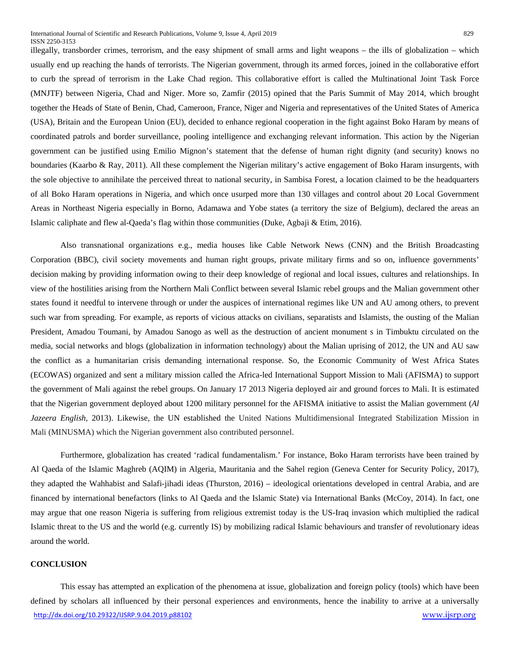illegally, transborder crimes, terrorism, and the easy shipment of small arms and light weapons – the ills of globalization – which usually end up reaching the hands of terrorists. The Nigerian government, through its armed forces, joined in the collaborative effort to curb the spread of terrorism in the Lake Chad region. This collaborative effort is called the Multinational Joint Task Force (MNJTF) between Nigeria, Chad and Niger. More so, Zamfir (2015) opined that the Paris Summit of May 2014, which brought together the Heads of State of Benin, Chad, Cameroon, France, Niger and Nigeria and representatives of the United States of America (USA), Britain and the European Union (EU), decided to enhance regional cooperation in the fight against Boko Haram by means of coordinated patrols and border surveillance, pooling intelligence and exchanging relevant information. This action by the Nigerian government can be justified using Emilio Mignon's statement that the defense of human right dignity (and security) knows no boundaries (Kaarbo & Ray, 2011). All these complement the Nigerian military's active engagement of Boko Haram insurgents, with the sole objective to annihilate the perceived threat to national security, in Sambisa Forest, a location claimed to be the headquarters of all Boko Haram operations in Nigeria, and which once usurped more than 130 villages and control about 20 Local Government Areas in Northeast Nigeria especially in Borno, Adamawa and Yobe states (a territory the size of Belgium), declared the areas an Islamic caliphate and flew al-Qaeda's flag within those communities (Duke, Agbaji & Etim, 2016).

Also transnational organizations e.g., media houses like Cable Network News (CNN) and the British Broadcasting Corporation (BBC), civil society movements and human right groups, private military firms and so on, influence governments' decision making by providing information owing to their deep knowledge of regional and local issues, cultures and relationships. In view of the hostilities arising from the Northern Mali Conflict between several Islamic rebel groups and the Malian government other states found it needful to intervene through or under the auspices of international regimes like UN and AU among others, to prevent such war from spreading. For example, as reports of vicious attacks on civilians, separatists and Islamists, the ousting of the Malian President, Amadou Toumani, by Amadou Sanogo as well as the destruction of ancient monument s in Timbuktu circulated on the media, social networks and blogs (globalization in information technology) about the Malian uprising of 2012, the UN and AU saw the conflict as a humanitarian crisis demanding international response. So, the Economic Community of West Africa States (ECOWAS) organized and sent a military mission called the Africa-led International Support Mission to Mali (AFISMA) to support the government of Mali against the rebel groups. On January 17 2013 Nigeria deployed air and ground forces to Mali. It is estimated that the Nigerian government deployed about 1200 military personnel for the AFISMA initiative to assist the Malian government (*Al Jazeera English*, 2013). Likewise, the UN established the United Nations Multidimensional Integrated Stabilization Mission in Mali (MINUSMA) which the Nigerian government also contributed personnel.

Furthermore, globalization has created 'radical fundamentalism.' For instance, Boko Haram terrorists have been trained by Al Qaeda of the Islamic Maghreb (AQIM) in Algeria, Mauritania and the Sahel region (Geneva Center for Security Policy, 2017), they adapted the Wahhabist and Salafi-jihadi ideas (Thurston, 2016) – ideological orientations developed in central Arabia, and are financed by international benefactors (links to Al Qaeda and the Islamic State) via International Banks (McCoy, 2014). In fact, one may argue that one reason Nigeria is suffering from religious extremist today is the US-Iraq invasion which multiplied the radical Islamic threat to the US and the world (e.g. currently IS) by mobilizing radical Islamic behaviours and transfer of revolutionary ideas around the world.

# **CONCLUSION**

[http://dx.doi.org/10.29322/IJSRP.9.04.2019.p88102](http://dx.doi.org/10.29322/IJSRP.9.03.2019.p88102) [www.ijsrp.org](http://ijsrp.org/) This essay has attempted an explication of the phenomena at issue, globalization and foreign policy (tools) which have been defined by scholars all influenced by their personal experiences and environments, hence the inability to arrive at a universally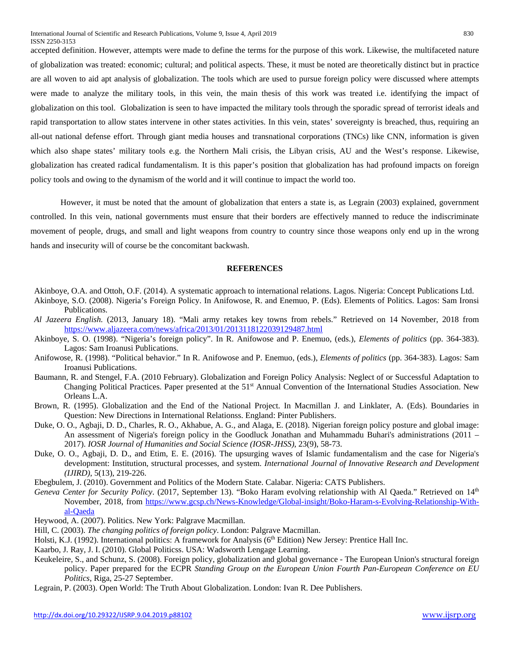accepted definition. However, attempts were made to define the terms for the purpose of this work. Likewise, the multifaceted nature of globalization was treated: economic; cultural; and political aspects. These, it must be noted are theoretically distinct but in practice are all woven to aid apt analysis of globalization. The tools which are used to pursue foreign policy were discussed where attempts were made to analyze the military tools, in this vein, the main thesis of this work was treated i.e. identifying the impact of globalization on this tool. Globalization is seen to have impacted the military tools through the sporadic spread of terrorist ideals and rapid transportation to allow states intervene in other states activities. In this vein, states' sovereignty is breached, thus, requiring an all-out national defense effort. Through giant media houses and transnational corporations (TNCs) like CNN, information is given which also shape states' military tools e.g. the Northern Mali crisis, the Libyan crisis, AU and the West's response. Likewise, globalization has created radical fundamentalism. It is this paper's position that globalization has had profound impacts on foreign policy tools and owing to the dynamism of the world and it will continue to impact the world too.

However, it must be noted that the amount of globalization that enters a state is, as Legrain (2003) explained, government controlled. In this vein, national governments must ensure that their borders are effectively manned to reduce the indiscriminate movement of people, drugs, and small and light weapons from country to country since those weapons only end up in the wrong hands and insecurity will of course be the concomitant backwash.

## **REFERENCES**

- Akinboye, O.A. and Ottoh, O.F. (2014). A systematic approach to international relations. Lagos. Nigeria: Concept Publications Ltd.
- Akinboye, S.O. (2008). Nigeria's Foreign Policy. In Anifowose, R. and Enemuo, P. (Eds). Elements of Politics. Lagos: Sam Ironsi Publications.
- *Al Jazeera English.* (2013, January 18). "Mali army retakes key towns from rebels." Retrieved on 14 November, 2018 from <https://www.aljazeera.com/news/africa/2013/01/2013118122039129487.html>
- Akinboye, S. O. (1998). "Nigeria's foreign policy". In R. Anifowose and P. Enemuo, (eds.), *Elements of politics* (pp. 364-383). Lagos: Sam Iroanusi Publications.
- Anifowose, R. (1998). "Political behavior." In R. Anifowose and P. Enemuo, (eds.), *Elements of politics* (pp. 364-383). Lagos: Sam Iroanusi Publications.
- Baumann, R. and Stengel, F.A. (2010 February). Globalization and Foreign Policy Analysis: Neglect of or Successful Adaptation to Changing Political Practices. Paper presented at the 51st Annual Convention of the International Studies Association. New Orleans L.A.
- Brown, R. (1995). Globalization and the End of the National Project. In Macmillan J. and Linklater, A. (Eds). Boundaries in Question: New Directions in International Relationss. England: Pinter Publishers.
- Duke, O. O., Agbaji, D. D., Charles, R. O., Akhabue, A. G., and Alaga, E. (2018). Nigerian foreign policy posture and global image: An assessment of Nigeria's foreign policy in the Goodluck Jonathan and Muhammadu Buhari's administrations (2011 – 2017). *IOSR Journal of Humanities and Social Science (IOSR-JHSS)*, 23(9), 58-73.
- Duke, O. O., Agbaji, D. D., and Etim, E. E. (2016). The upsurging waves of Islamic fundamentalism and the case for Nigeria's development: Institution, structural processes, and system. *International Journal of Innovative Research and Development (IJIRD)*, 5(13), 219-226.
- Ebegbulem, J. (2010). Government and Politics of the Modern State. Calabar. Nigeria: CATS Publishers.
- *Geneva Center for Security Policy*. (2017, September 13). "Boko Haram evolving relationship with Al Qaeda." Retrieved on 14th November, 2018, from [https://www.gcsp.ch/News-Knowledge/Global-insight/Boko-Haram-s-Evolving-Relationship-With](https://www.gcsp.ch/News-Knowledge/Global-insight/Boko-Haram-s-Evolving-Relationship-With-al-Qaeda)[al-Qaeda](https://www.gcsp.ch/News-Knowledge/Global-insight/Boko-Haram-s-Evolving-Relationship-With-al-Qaeda)
- Heywood, A. (2007). Politics. New York: Palgrave Macmillan.
- Hill, C. (2003). *The changing politics of foreign policy*. London: Palgrave Macmillan.
- Holsti, K.J. (1992). International politics: A framework for Analysis (6<sup>th</sup> Edition) New Jersey: Prentice Hall Inc.
- Kaarbo, J. Ray, J. I. (2010). Global Politicss. USA: Wadsworth Lengage Learning.
- Keukeleire, S., and Schunz, S. (2008). Foreign policy, globalization and global governance The European Union's structural foreign policy. Paper prepared for the ECPR *Standing Group on the European Union Fourth Pan-European Conference on EU Politics*, Riga, 25-27 September.
- Legrain, P. (2003). Open World: The Truth About Globalization. London: Ivan R. Dee Publishers.